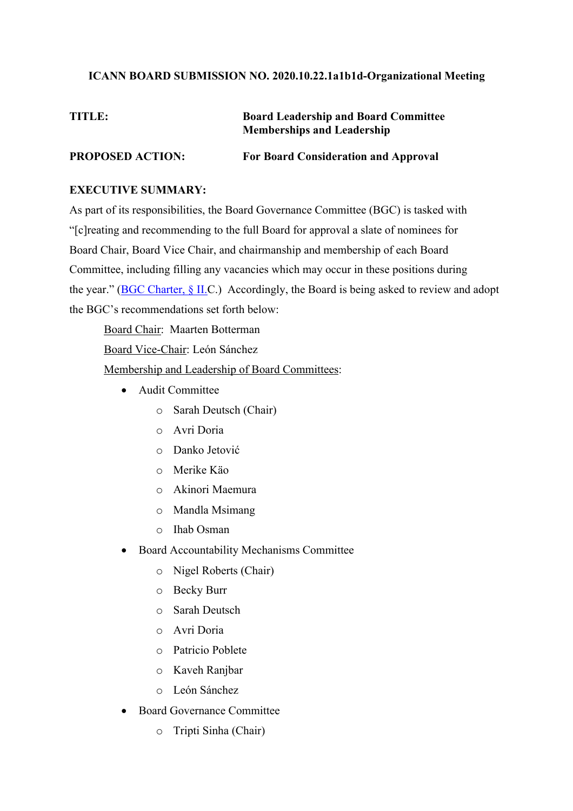## **ICANN BOARD SUBMISSION NO. 2020.10.22.1a1b1d-Organizational Meeting**

## **TITLE: Board Leadership and Board Committee Memberships and Leadership PROPOSED ACTION: For Board Consideration and Approval**

## **EXECUTIVE SUMMARY:**

As part of its responsibilities, the Board Governance Committee (BGC) is tasked with "[c]reating and recommending to the full Board for approval a slate of nominees for Board Chair, Board Vice Chair, and chairmanship and membership of each Board Committee, including filling any vacancies which may occur in these positions during the year." (BGC Charter, § II.C.) Accordingly, the Board is being asked to review and adopt the BGC's recommendations set forth below:

Board Chair: Maarten Botterman

Board Vice-Chair: León Sánchez

Membership and Leadership of Board Committees:

- Audit Committee
	- o Sarah Deutsch (Chair)
	- o Avri Doria
	- o Danko Jetović
	- o Merike Käo
	- o Akinori Maemura
	- o Mandla Msimang
	- o Ihab Osman
- Board Accountability Mechanisms Committee
	- o Nigel Roberts (Chair)
	- o Becky Burr
	- o Sarah Deutsch
	- o Avri Doria
	- o Patricio Poblete
	- o Kaveh Ranjbar
	- o León Sánchez
- Board Governance Committee
	- o Tripti Sinha (Chair)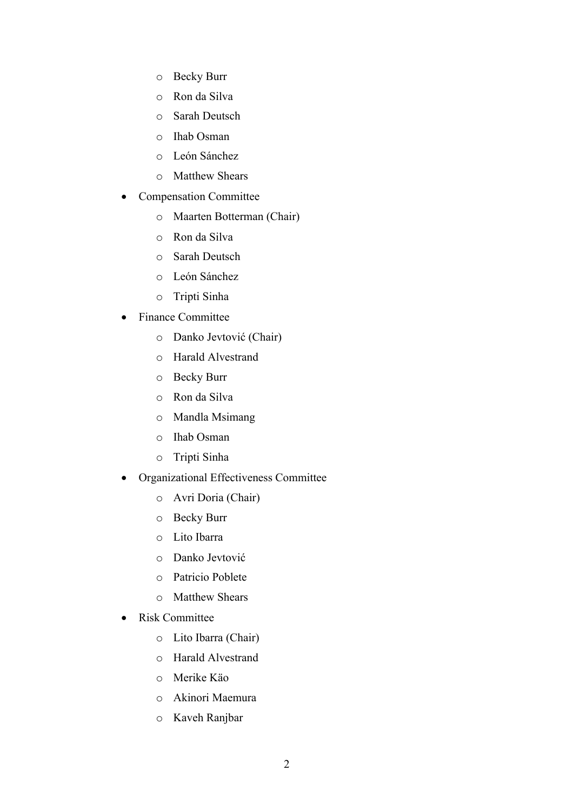- o Becky Burr
- o Ron da Silva
- o Sarah Deutsch
- o Ihab Osman
- o León Sánchez
- o Matthew Shears
- Compensation Committee
	- o Maarten Botterman (Chair)
	- o Ron da Silva
	- o Sarah Deutsch
	- o León Sánchez
	- o Tripti Sinha
- Finance Committee
	- o Danko Jevtović (Chair)
	- o Harald Alvestrand
	- o Becky Burr
	- o Ron da Silva
	- o Mandla Msimang
	- o Ihab Osman
	- o Tripti Sinha
- Organizational Effectiveness Committee
	- o Avri Doria (Chair)
	- o Becky Burr
	- o Lito Ibarra
	- o Danko Jevtović
	- o Patricio Poblete
	- o Matthew Shears
- Risk Committee
	- o Lito Ibarra (Chair)
	- o Harald Alvestrand
	- o Merike Käo
	- o Akinori Maemura
	- o Kaveh Ranjbar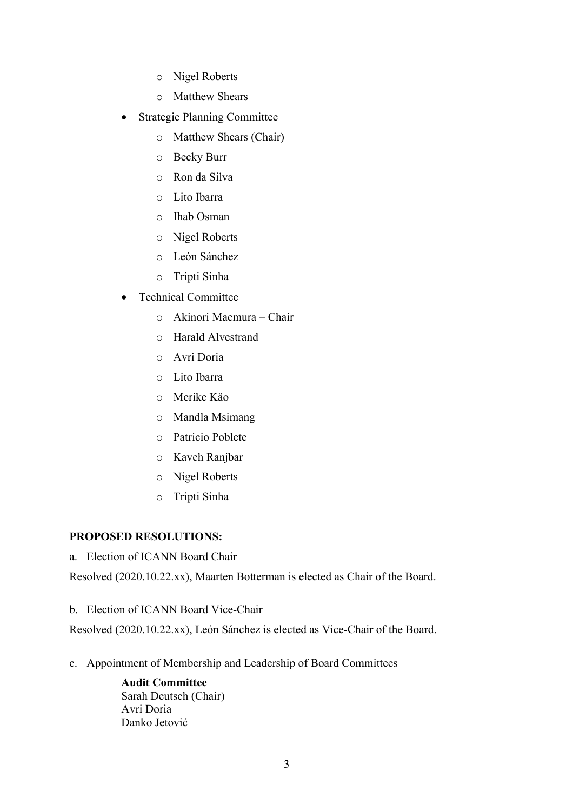- o Nigel Roberts
- o Matthew Shears
- **Strategic Planning Committee** 
	- o Matthew Shears (Chair)
	- o Becky Burr
	- o Ron da Silva
	- o Lito Ibarra
	- o Ihab Osman
	- o Nigel Roberts
	- o León Sánchez
	- o Tripti Sinha
- Technical Committee
	- o Akinori Maemura Chair
	- o Harald Alvestrand
	- o Avri Doria
	- o Lito Ibarra
	- o Merike Käo
	- o Mandla Msimang
	- o Patricio Poblete
	- o Kaveh Ranjbar
	- o Nigel Roberts
	- o Tripti Sinha

## **PROPOSED RESOLUTIONS:**

a. Election of ICANN Board Chair

Resolved (2020.10.22.xx), Maarten Botterman is elected as Chair of the Board.

b. Election of ICANN Board Vice-Chair

Resolved (2020.10.22.xx), León Sánchez is elected as Vice-Chair of the Board.

c. Appointment of Membership and Leadership of Board Committees

**Audit Committee** Sarah Deutsch (Chair) Avri Doria Danko Jetović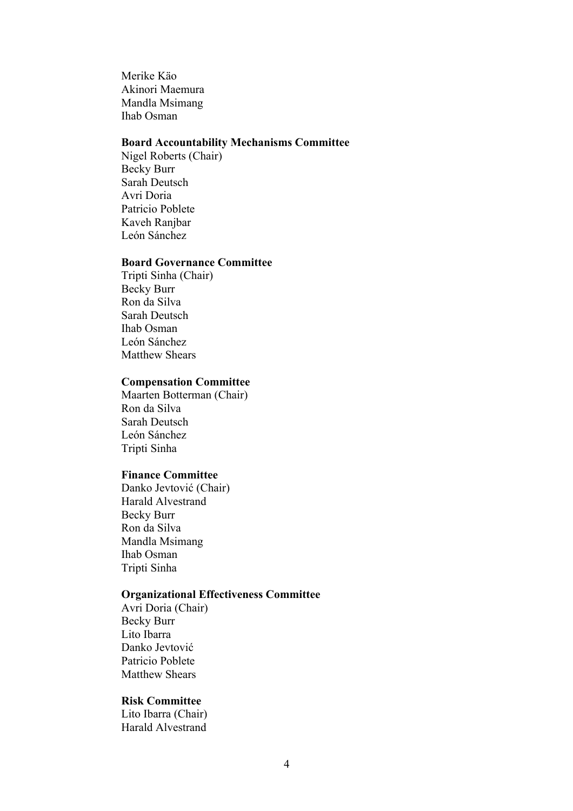Merike Käo Akinori Maemura Mandla Msimang Ihab Osman

## **Board Accountability Mechanisms Committee**

Nigel Roberts (Chair) Becky Burr Sarah Deutsch Avri Doria Patricio Poblete Kaveh Ranjbar León Sánchez

#### **Board Governance Committee**

Tripti Sinha (Chair) Becky Burr Ron da Silva Sarah Deutsch Ihab Osman León Sánchez Matthew Shears

#### **Compensation Committee**

Maarten Botterman (Chair) Ron da Silva Sarah Deutsch León Sánchez Tripti Sinha

#### **Finance Committee**

Danko Jevtović (Chair) Harald Alvestrand Becky Burr Ron da Silva Mandla Msimang Ihab Osman Tripti Sinha

#### **Organizational Effectiveness Committee**

Avri Doria (Chair) Becky Burr Lito Ibarra Danko Jevtović Patricio Poblete Matthew Shears

#### **Risk Committee**

Lito Ibarra (Chair) Harald Alvestrand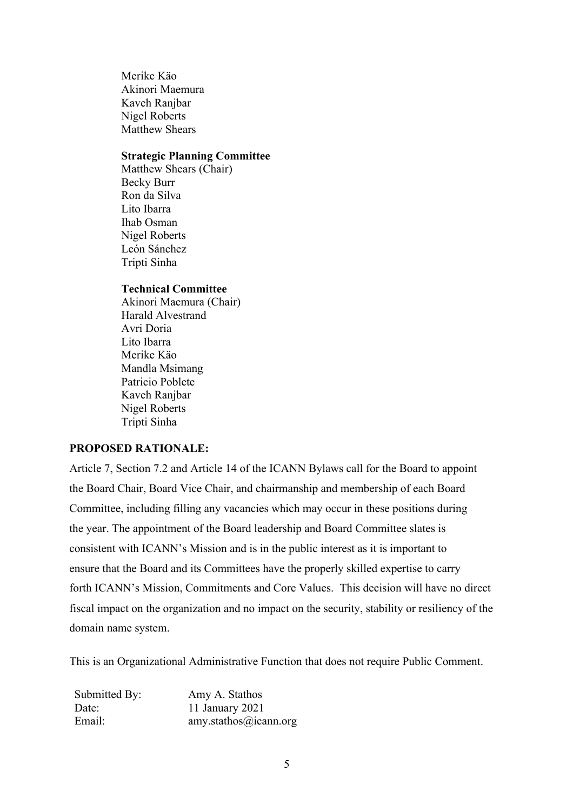Merike Käo Akinori Maemura Kaveh Ranjbar Nigel Roberts Matthew Shears

## **Strategic Planning Committee**

Matthew Shears (Chair) Becky Burr Ron da Silva Lito Ibarra Ihab Osman Nigel Roberts León Sánchez Tripti Sinha

#### **Technical Committee**

Akinori Maemura (Chair) Harald Alvestrand Avri Doria Lito Ibarra Merike Käo Mandla Msimang Patricio Poblete Kaveh Ranjbar Nigel Roberts Tripti Sinha

## **PROPOSED RATIONALE:**

Article 7, Section 7.2 and Article 14 of the ICANN Bylaws call for the Board to appoint the Board Chair, Board Vice Chair, and chairmanship and membership of each Board Committee, including filling any vacancies which may occur in these positions during the year. The appointment of the Board leadership and Board Committee slates is consistent with ICANN's Mission and is in the public interest as it is important to ensure that the Board and its Committees have the properly skilled expertise to carry forth ICANN's Mission, Commitments and Core Values. This decision will have no direct fiscal impact on the organization and no impact on the security, stability or resiliency of the domain name system.

This is an Organizational Administrative Function that does not require Public Comment.

| Submitted By: | Amy A. Stathos        |
|---------------|-----------------------|
| Date:         | 11 January 2021       |
| Email:        | amy.stathos@icann.org |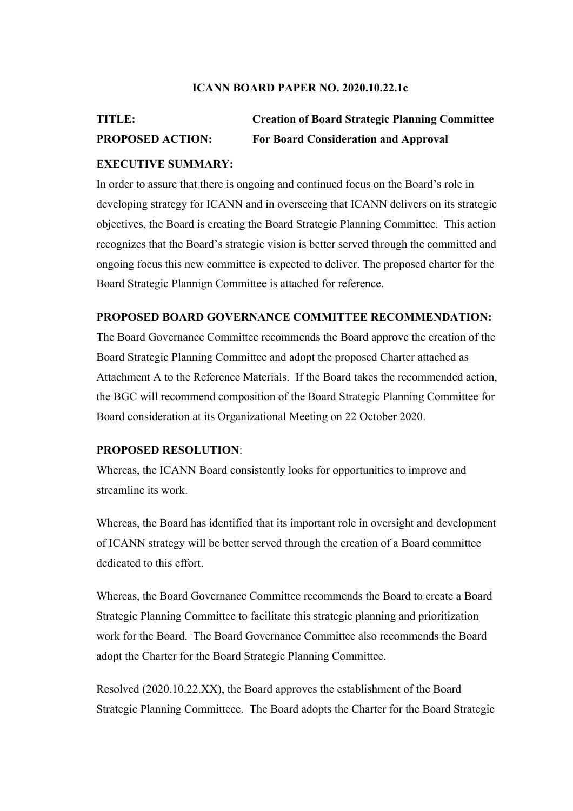#### **ICANN BOARD PAPER NO. 2020.10.22.1c**

# **TITLE: Creation of Board Strategic Planning Committee PROPOSED ACTION: For Board Consideration and Approval**

### **EXECUTIVE SUMMARY:**

In order to assure that there is ongoing and continued focus on the Board's role in developing strategy for ICANN and in overseeing that ICANN delivers on its strategic objectives, the Board is creating the Board Strategic Planning Committee. This action recognizes that the Board's strategic vision is better served through the committed and ongoing focus this new committee is expected to deliver. The proposed charter for the Board Strategic Plannign Committee is attached for reference.

## **PROPOSED BOARD GOVERNANCE COMMITTEE RECOMMENDATION:**

The Board Governance Committee recommends the Board approve the creation of the Board Strategic Planning Committee and adopt the proposed Charter attached as Attachment A to the Reference Materials. If the Board takes the recommended action, the BGC will recommend composition of the Board Strategic Planning Committee for Board consideration at its Organizational Meeting on 22 October 2020.

#### **PROPOSED RESOLUTION**:

Whereas, the ICANN Board consistently looks for opportunities to improve and streamline its work.

Whereas, the Board has identified that its important role in oversight and development of ICANN strategy will be better served through the creation of a Board committee dedicated to this effort.

Whereas, the Board Governance Committee recommends the Board to create a Board Strategic Planning Committee to facilitate this strategic planning and prioritization work for the Board. The Board Governance Committee also recommends the Board adopt the Charter for the Board Strategic Planning Committee.

Resolved (2020.10.22.XX), the Board approves the establishment of the Board Strategic Planning Committeee. The Board adopts the Charter for the Board Strategic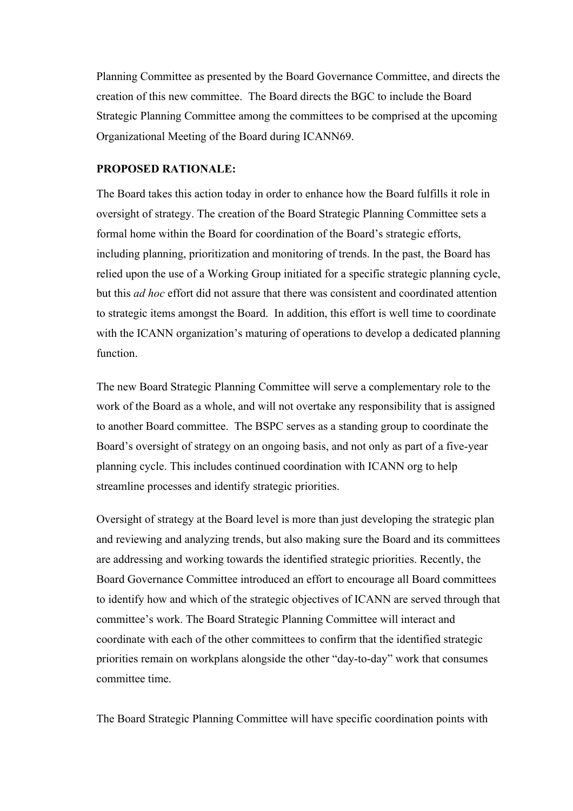Planning Committee as presented by the Board Governance Committee, and directs the creation of this new committee. The Board directs the BGC to include the Board Strategic Planning Committee among the committees to be comprised at the upcoming Organizational Meeting of the Board during ICANN69.

## **PROPOSED RATIONALE:**

The Board takes this action today in order to enhance how the Board fulfills it role in oversight of strategy. The creation of the Board Strategic Planning Committee sets a formal home within the Board for coordination of the Board's strategic efforts, including planning, prioritization and monitoring of trends. In the past, the Board has relied upon the use of a Working Group initiated for a specific strategic planning cycle, but this *ad hoc* effort did not assure that there was consistent and coordinated attention to strategic items amongst the Board. In addition, this effort is well time to coordinate with the ICANN organization's maturing of operations to develop a dedicated planning function.

The new Board Strategic Planning Committee will serve a complementary role to the work of the Board as a whole, and will not overtake any responsibility that is assigned to another Board committee. The BSPC serves as a standing group to coordinate the Board's oversight of strategy on an ongoing basis, and not only as part of a five-year planning cycle. This includes continued coordination with ICANN org to help streamline processes and identify strategic priorities.

Oversight of strategy at the Board level is more than just developing the strategic plan and reviewing and analyzing trends, but also making sure the Board and its committees are addressing and working towards the identified strategic priorities. Recently, the Board Governance Committee introduced an effort to encourage all Board committees to identify how and which of the strategic objectives of ICANN are served through that committee's work. The Board Strategic Planning Committee will interact and coordinate with each of the other committees to confirm that the identified strategic priorities remain on workplans alongside the other "day-to-day" work that consumes committee time.

The Board Strategic Planning Committee will have specific coordination points with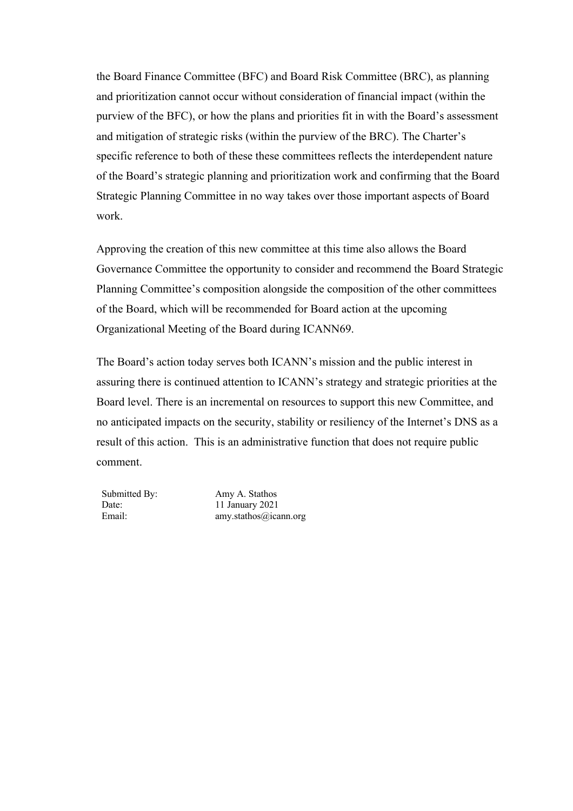the Board Finance Committee (BFC) and Board Risk Committee (BRC), as planning and prioritization cannot occur without consideration of financial impact (within the purview of the BFC), or how the plans and priorities fit in with the Board's assessment and mitigation of strategic risks (within the purview of the BRC). The Charter's specific reference to both of these these committees reflects the interdependent nature of the Board's strategic planning and prioritization work and confirming that the Board Strategic Planning Committee in no way takes over those important aspects of Board work.

Approving the creation of this new committee at this time also allows the Board Governance Committee the opportunity to consider and recommend the Board Strategic Planning Committee's composition alongside the composition of the other committees of the Board, which will be recommended for Board action at the upcoming Organizational Meeting of the Board during ICANN69.

The Board's action today serves both ICANN's mission and the public interest in assuring there is continued attention to ICANN's strategy and strategic priorities at the Board level. There is an incremental on resources to support this new Committee, and no anticipated impacts on the security, stability or resiliency of the Internet's DNS as a result of this action. This is an administrative function that does not require public comment.

Submitted By: Amy A. Stathos Date: 11 January 2021 Email: amy.stathos@icann.org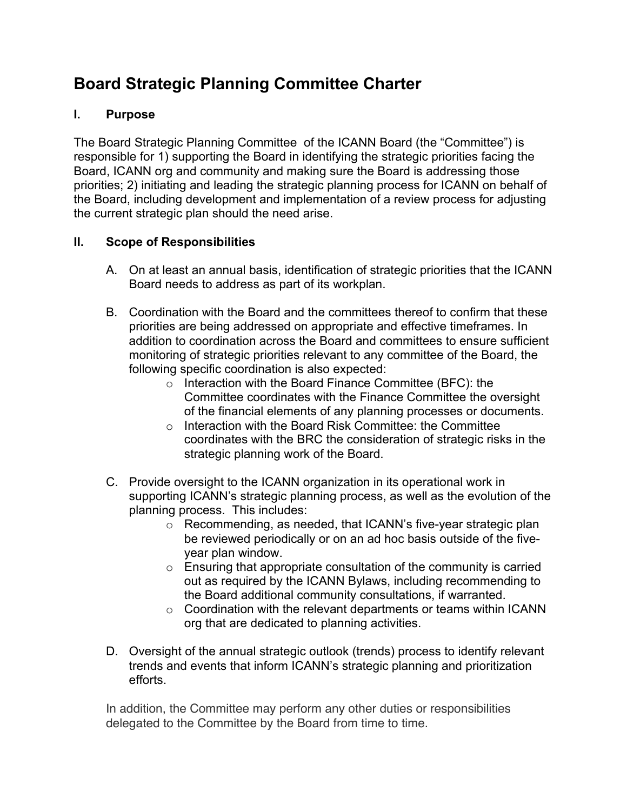# **Board Strategic Planning Committee Charter**

## **I. Purpose**

The Board Strategic Planning Committee of the ICANN Board (the "Committee") is responsible for 1) supporting the Board in identifying the strategic priorities facing the Board, ICANN org and community and making sure the Board is addressing those priorities; 2) initiating and leading the strategic planning process for ICANN on behalf of the Board, including development and implementation of a review process for adjusting the current strategic plan should the need arise.

## **II. Scope of Responsibilities**

- A. On at least an annual basis, identification of strategic priorities that the ICANN Board needs to address as part of its workplan.
- B. Coordination with the Board and the committees thereof to confirm that these priorities are being addressed on appropriate and effective timeframes. In addition to coordination across the Board and committees to ensure sufficient monitoring of strategic priorities relevant to any committee of the Board, the following specific coordination is also expected:
	- o Interaction with the Board Finance Committee (BFC): the Committee coordinates with the Finance Committee the oversight of the financial elements of any planning processes or documents.
	- o Interaction with the Board Risk Committee: the Committee coordinates with the BRC the consideration of strategic risks in the strategic planning work of the Board.
- C. Provide oversight to the ICANN organization in its operational work in supporting ICANN's strategic planning process, as well as the evolution of the planning process. This includes:
	- o Recommending, as needed, that ICANN's five-year strategic plan be reviewed periodically or on an ad hoc basis outside of the fiveyear plan window.
	- $\circ$  Ensuring that appropriate consultation of the community is carried out as required by the ICANN Bylaws, including recommending to the Board additional community consultations, if warranted.
	- $\circ$  Coordination with the relevant departments or teams within ICANN org that are dedicated to planning activities.
- D. Oversight of the annual strategic outlook (trends) process to identify relevant trends and events that inform ICANN's strategic planning and prioritization efforts.

In addition, the Committee may perform any other duties or responsibilities delegated to the Committee by the Board from time to time.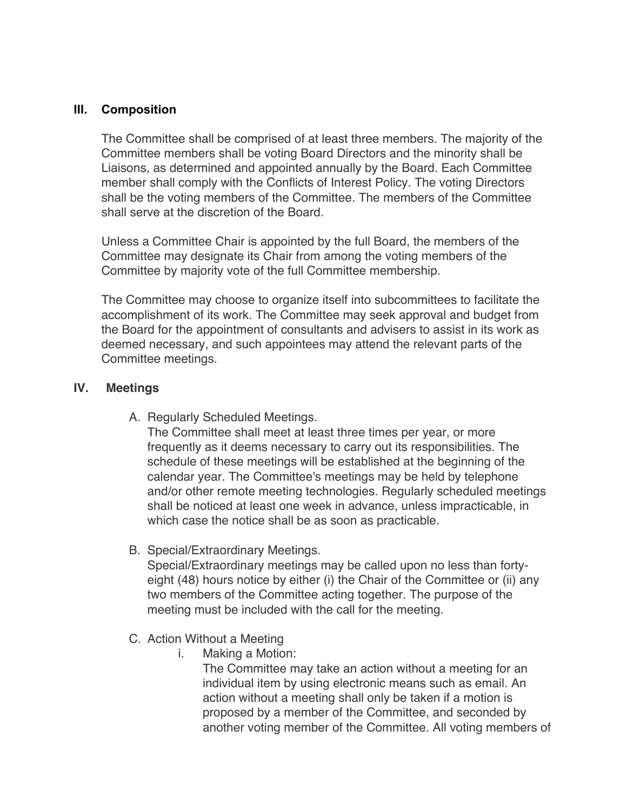## **III. Composition**

The Committee shall be comprised of at least three members. The majority of the Committee members shall be voting Board Directors and the minority shall be Liaisons, as determined and appointed annually by the Board. Each Committee member shall comply with the Conflicts of Interest Policy. The voting Directors shall be the voting members of the Committee. The members of the Committee shall serve at the discretion of the Board.

Unless a Committee Chair is appointed by the full Board, the members of the Committee may designate its Chair from among the voting members of the Committee by majority vote of the full Committee membership.

The Committee may choose to organize itself into subcommittees to facilitate the accomplishment of its work. The Committee may seek approval and budget from the Board for the appointment of consultants and advisers to assist in its work as deemed necessary, and such appointees may attend the relevant parts of the Committee meetings.

## **IV. Meetings**

A. Regularly Scheduled Meetings.

The Committee shall meet at least three times per year, or more frequently as it deems necessary to carry out its responsibilities. The schedule of these meetings will be established at the beginning of the calendar year. The Committee's meetings may be held by telephone and/or other remote meeting technologies. Regularly scheduled meetings shall be noticed at least one week in advance, unless impracticable, in which case the notice shall be as soon as practicable.

B. Special/Extraordinary Meetings.

Special/Extraordinary meetings may be called upon no less than fortyeight (48) hours notice by either (i) the Chair of the Committee or (ii) any two members of the Committee acting together. The purpose of the meeting must be included with the call for the meeting.

- C. Action Without a Meeting
	- i. Making a Motion:

The Committee may take an action without a meeting for an individual item by using electronic means such as email. An action without a meeting shall only be taken if a motion is proposed by a member of the Committee, and seconded by another voting member of the Committee. All voting members of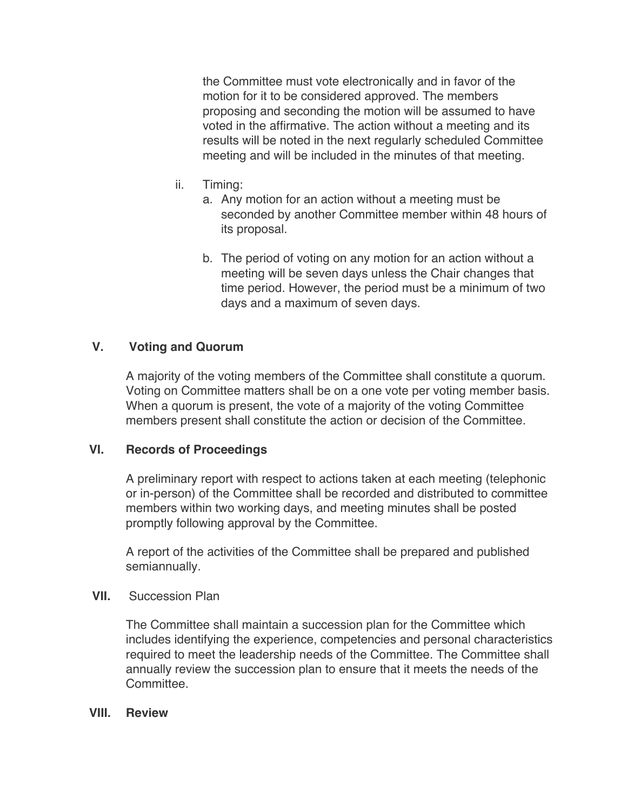the Committee must vote electronically and in favor of the motion for it to be considered approved. The members proposing and seconding the motion will be assumed to have voted in the affirmative. The action without a meeting and its results will be noted in the next regularly scheduled Committee meeting and will be included in the minutes of that meeting.

- ii. Timing:
	- a. Any motion for an action without a meeting must be seconded by another Committee member within 48 hours of its proposal.
	- b. The period of voting on any motion for an action without a meeting will be seven days unless the Chair changes that time period. However, the period must be a minimum of two days and a maximum of seven days.

## **V. Voting and Quorum**

A majority of the voting members of the Committee shall constitute a quorum. Voting on Committee matters shall be on a one vote per voting member basis. When a quorum is present, the vote of a majority of the voting Committee members present shall constitute the action or decision of the Committee.

## **VI. Records of Proceedings**

A preliminary report with respect to actions taken at each meeting (telephonic or in-person) of the Committee shall be recorded and distributed to committee members within two working days, and meeting minutes shall be posted promptly following approval by the Committee.

A report of the activities of the Committee shall be prepared and published semiannually.

## **VII.** Succession Plan

The Committee shall maintain a succession plan for the Committee which includes identifying the experience, competencies and personal characteristics required to meet the leadership needs of the Committee. The Committee shall annually review the succession plan to ensure that it meets the needs of the Committee.

## **VIII. Review**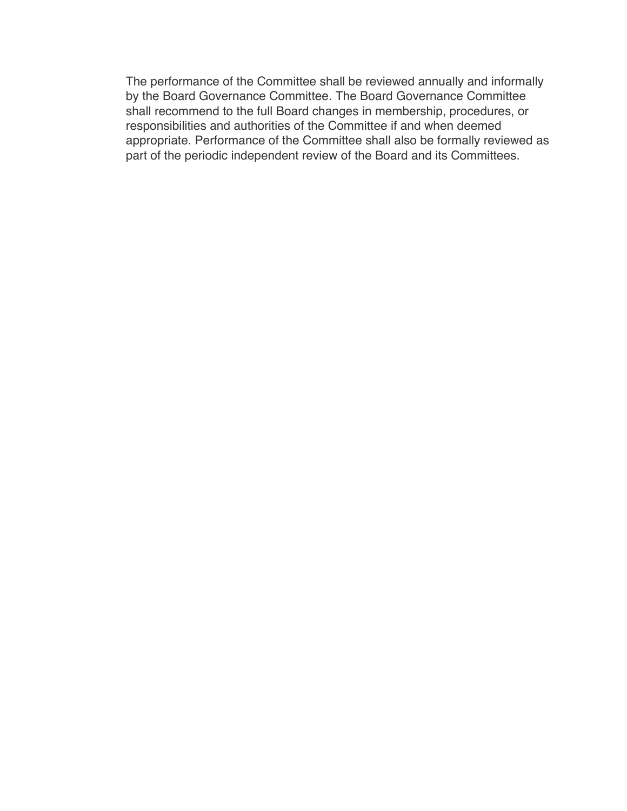The performance of the Committee shall be reviewed annually and informally by the Board Governance Committee. The Board Governance Committee shall recommend to the full Board changes in membership, procedures, or responsibilities and authorities of the Committee if and when deemed appropriate. Performance of the Committee shall also be formally reviewed as part of the periodic independent review of the Board and its Committees.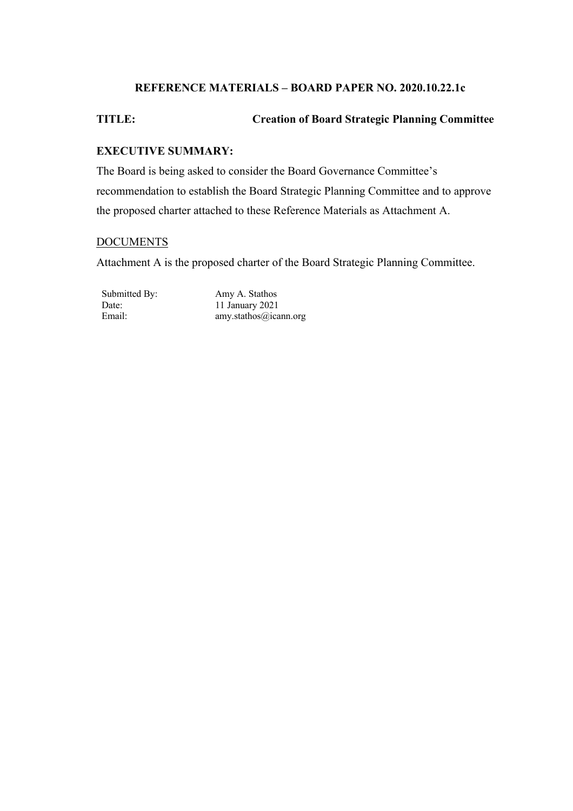## **REFERENCE MATERIALS – BOARD PAPER NO. 2020.10.22.1c**

## **TITLE: Creation of Board Strategic Planning Committee**

### **EXECUTIVE SUMMARY:**

The Board is being asked to consider the Board Governance Committee's recommendation to establish the Board Strategic Planning Committee and to approve the proposed charter attached to these Reference Materials as Attachment A.

#### **DOCUMENTS**

Attachment A is the proposed charter of the Board Strategic Planning Committee.

Submitted By: Amy A. Stathos Date: 11 January 2021<br>Email: 11 January 2021<br>amy.stathos@ica amy.stathos@icann.org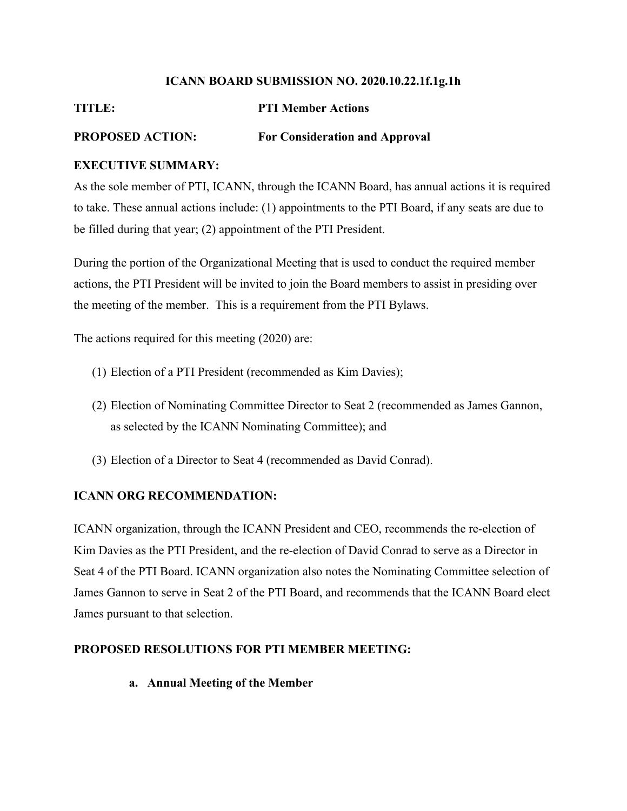#### **ICANN BOARD SUBMISSION NO. 2020.10.22.1f.1g.1h**

## **TITLE: PTI Member Actions**

## **PROPOSED ACTION: For Consideration and Approval**

## **EXECUTIVE SUMMARY:**

As the sole member of PTI, ICANN, through the ICANN Board, has annual actions it is required to take. These annual actions include: (1) appointments to the PTI Board, if any seats are due to be filled during that year; (2) appointment of the PTI President.

During the portion of the Organizational Meeting that is used to conduct the required member actions, the PTI President will be invited to join the Board members to assist in presiding over the meeting of the member. This is a requirement from the PTI Bylaws.

The actions required for this meeting (2020) are:

- (1) Election of a PTI President (recommended as Kim Davies);
- (2) Election of Nominating Committee Director to Seat 2 (recommended as James Gannon, as selected by the ICANN Nominating Committee); and
- (3) Election of a Director to Seat 4 (recommended as David Conrad).

## **ICANN ORG RECOMMENDATION:**

ICANN organization, through the ICANN President and CEO, recommends the re-election of Kim Davies as the PTI President, and the re-election of David Conrad to serve as a Director in Seat 4 of the PTI Board. ICANN organization also notes the Nominating Committee selection of James Gannon to serve in Seat 2 of the PTI Board, and recommends that the ICANN Board elect James pursuant to that selection.

## **PROPOSED RESOLUTIONS FOR PTI MEMBER MEETING:**

## **a. Annual Meeting of the Member**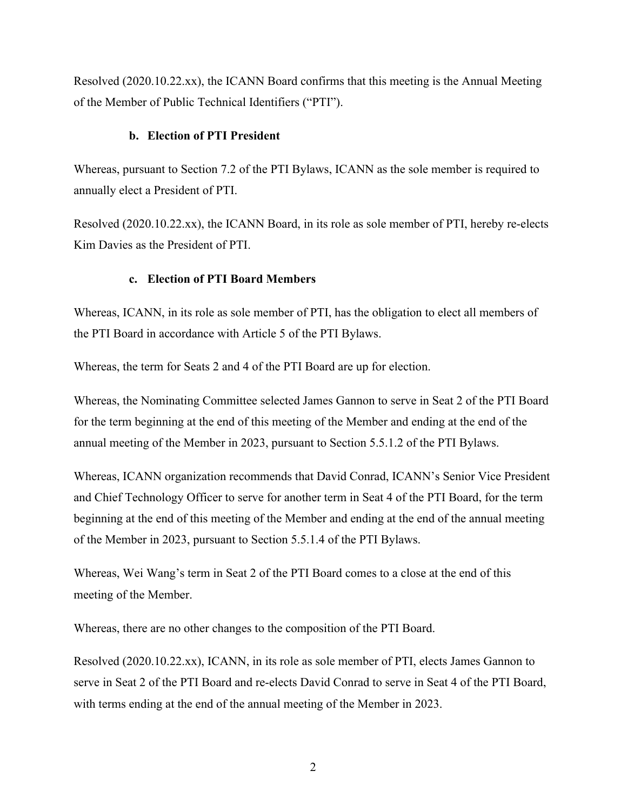Resolved (2020.10.22.xx), the ICANN Board confirms that this meeting is the Annual Meeting of the Member of Public Technical Identifiers ("PTI").

#### **b. Election of PTI President**

Whereas, pursuant to Section 7.2 of the PTI Bylaws, ICANN as the sole member is required to annually elect a President of PTI.

Resolved (2020.10.22.xx), the ICANN Board, in its role as sole member of PTI, hereby re-elects Kim Davies as the President of PTI.

#### **c. Election of PTI Board Members**

Whereas, ICANN, in its role as sole member of PTI, has the obligation to elect all members of the PTI Board in accordance with Article 5 of the PTI Bylaws.

Whereas, the term for Seats 2 and 4 of the PTI Board are up for election.

Whereas, the Nominating Committee selected James Gannon to serve in Seat 2 of the PTI Board for the term beginning at the end of this meeting of the Member and ending at the end of the annual meeting of the Member in 2023, pursuant to Section 5.5.1.2 of the PTI Bylaws.

Whereas, ICANN organization recommends that David Conrad, ICANN's Senior Vice President and Chief Technology Officer to serve for another term in Seat 4 of the PTI Board, for the term beginning at the end of this meeting of the Member and ending at the end of the annual meeting of the Member in 2023, pursuant to Section 5.5.1.4 of the PTI Bylaws.

Whereas, Wei Wang's term in Seat 2 of the PTI Board comes to a close at the end of this meeting of the Member.

Whereas, there are no other changes to the composition of the PTI Board.

Resolved (2020.10.22.xx), ICANN, in its role as sole member of PTI, elects James Gannon to serve in Seat 2 of the PTI Board and re-elects David Conrad to serve in Seat 4 of the PTI Board, with terms ending at the end of the annual meeting of the Member in 2023.